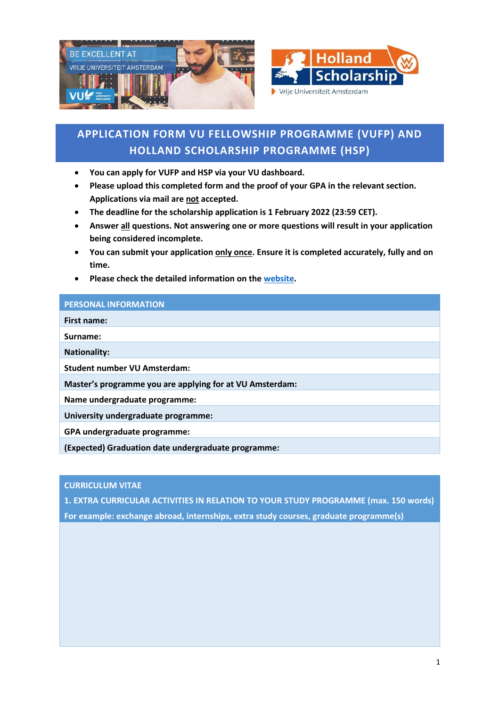



# **APPLICATION FORM VU FELLOWSHIP PROGRAMME (VUFP) AND HOLLAND SCHOLARSHIP PROGRAMME (HSP)**

- **You can apply for VUFP and HSP via your VU dashboard.**
- **Please upload this completed form and the proof of your GPA in the relevant section. Applications via mail are not accepted.**
- **The deadline for the scholarship application is 1 February 2022 (23:59 CET).**
- **Answer all questions. Not answering one or more questions will result in your application being considered incomplete.**
- **You can submit your application only once. Ensure it is completed accurately, fully and on time.**
- **Please check the detailed information on the [website.](https://vu.nl/en/education/more-about/scholarships-for-international-masters-students)**

## **PERSONAL INFORMATION**

**First name:**

**Surname:**

**Nationality:**

**Student number VU Amsterdam:**

**Master's programme you are applying for at VU Amsterdam:**

**Name undergraduate programme:**

**University undergraduate programme:**

**GPA undergraduate programme:** 

**(Expected) Graduation date undergraduate programme:**

**CURRICULUM VITAE**

**1. EXTRA CURRICULAR ACTIVITIES IN RELATION TO YOUR STUDY PROGRAMME (max. 150 words) For example: exchange abroad, internships, extra study courses, graduate programme(s)**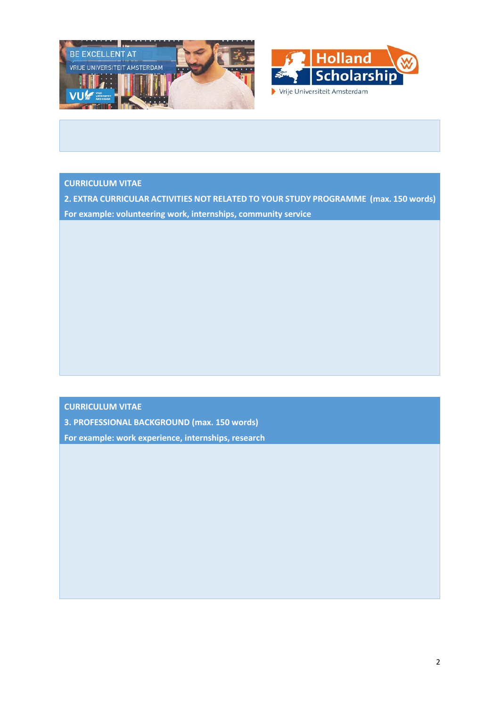



# **CURRICULUM VITAE**

**2. EXTRA CURRICULAR ACTIVITIES NOT RELATED TO YOUR STUDY PROGRAMME (max. 150 words) For example: volunteering work, internships, community service**

### **CURRICULUM VITAE**

**3. PROFESSIONAL BACKGROUND (max. 150 words)**

**For example: work experience, internships, research**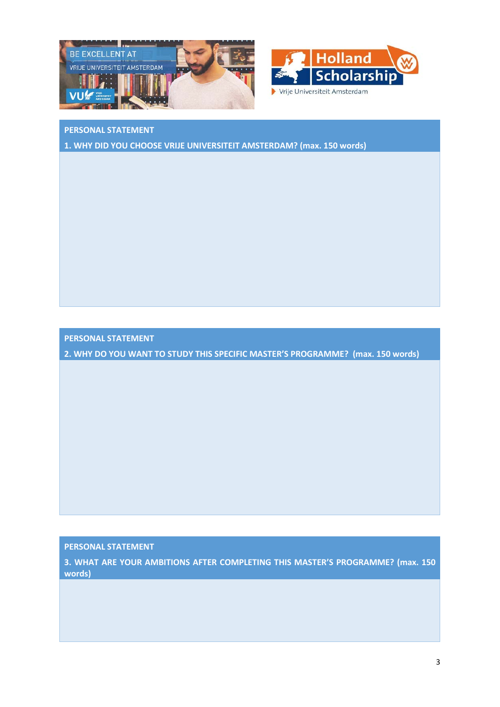



# **PERSONAL STATEMENT**

**1. WHY DID YOU CHOOSE VRIJE UNIVERSITEIT AMSTERDAM? (max. 150 words)**

**PERSONAL STATEMENT**

**2. WHY DO YOU WANT TO STUDY THIS SPECIFIC MASTER'S PROGRAMME? (max. 150 words)**

**PERSONAL STATEMENT**

**3. WHAT ARE YOUR AMBITIONS AFTER COMPLETING THIS MASTER'S PROGRAMME? (max. 150 words)**